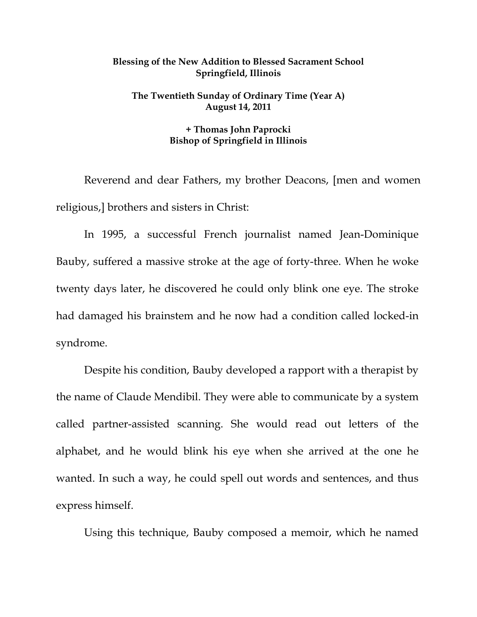## **Blessing of the New Addition to Blessed Sacrament School Springfield, Illinois**

## **The Twentieth Sunday of Ordinary Time (Year A) August 14, 2011**

## **+ Thomas John Paprocki Bishop of Springfield in Illinois**

 Reverend and dear Fathers, my brother Deacons, [men and women religious,] brothers and sisters in Christ:

 In 1995, a successful French journalist named Jean-Dominique Bauby, suffered a massive stroke at the age of forty-three. When he woke twenty days later, he discovered he could only blink one eye. The stroke had damaged his brainstem and he now had a condition called locked-in syndrome.

Despite his condition, Bauby developed a rapport with a therapist by the name of Claude Mendibil. They were able to communicate by a system called partner-assisted scanning. She would read out letters of the alphabet, and he would blink his eye when she arrived at the one he wanted. In such a way, he could spell out words and sentences, and thus express himself.

Using this technique, Bauby composed a memoir, which he named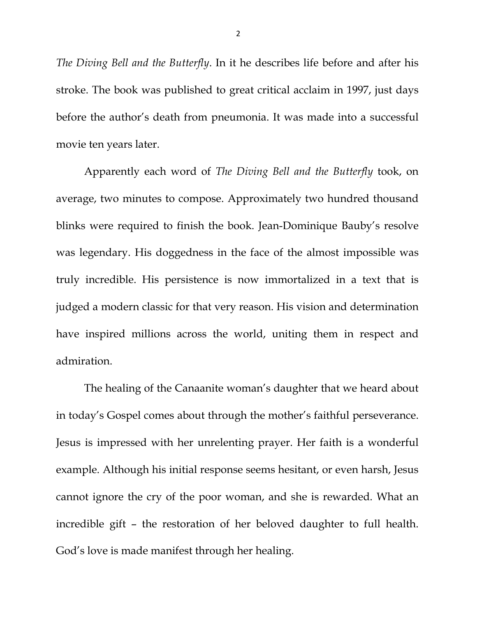*The Diving Bell and the Butterfly*. In it he describes life before and after his stroke. The book was published to great critical acclaim in 1997, just days before the author's death from pneumonia. It was made into a successful movie ten years later.

Apparently each word of *The Diving Bell and the Butterfly* took, on average, two minutes to compose. Approximately two hundred thousand blinks were required to finish the book. Jean-Dominique Bauby's resolve was legendary. His doggedness in the face of the almost impossible was truly incredible. His persistence is now immortalized in a text that is judged a modern classic for that very reason. His vision and determination have inspired millions across the world, uniting them in respect and admiration.

The healing of the Canaanite woman's daughter that we heard about in today's Gospel comes about through the mother's faithful perseverance. Jesus is impressed with her unrelenting prayer. Her faith is a wonderful example. Although his initial response seems hesitant, or even harsh, Jesus cannot ignore the cry of the poor woman, and she is rewarded. What an incredible gift – the restoration of her beloved daughter to full health. God's love is made manifest through her healing.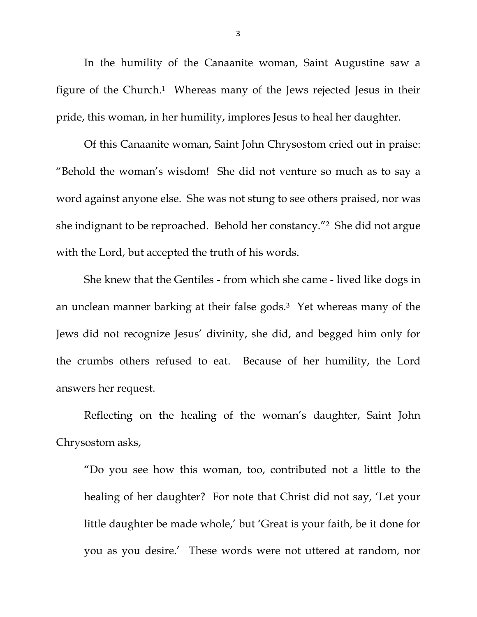In the humility of the Canaanite woman, Saint Augustine saw a figure of the Church.1 Whereas many of the Jews rejected Jesus in their pride, this woman, in her humility, implores Jesus to heal her daughter.

 Of this Canaanite woman, Saint John Chrysostom cried out in praise: "Behold the woman's wisdom! She did not venture so much as to say a word against anyone else. She was not stung to see others praised, nor was she indignant to be reproached. Behold her constancy."2 She did not argue with the Lord, but accepted the truth of his words.

 She knew that the Gentiles - from which she came - lived like dogs in an unclean manner barking at their false gods.3 Yet whereas many of the Jews did not recognize Jesus' divinity, she did, and begged him only for the crumbs others refused to eat. Because of her humility, the Lord answers her request.

 Reflecting on the healing of the woman's daughter, Saint John Chrysostom asks,

"Do you see how this woman, too, contributed not a little to the healing of her daughter? For note that Christ did not say, 'Let your little daughter be made whole,' but 'Great is your faith, be it done for you as you desire.' These words were not uttered at random, nor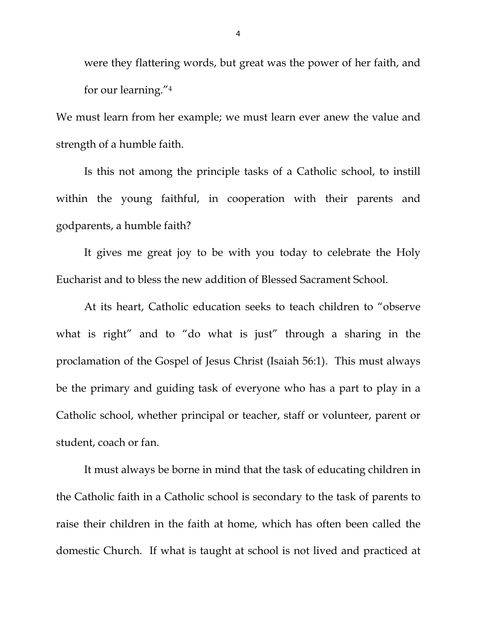were they flattering words, but great was the power of her faith, and for our learning."4

We must learn from her example; we must learn ever anew the value and strength of a humble faith.

 Is this not among the principle tasks of a Catholic school, to instill within the young faithful, in cooperation with their parents and godparents, a humble faith?

 It gives me great joy to be with you today to celebrate the Holy Eucharist and to bless the new addition of Blessed Sacrament School.

 At its heart, Catholic education seeks to teach children to "observe what is right" and to "do what is just" through a sharing in the proclamation of the Gospel of Jesus Christ (Isaiah 56:1). This must always be the primary and guiding task of everyone who has a part to play in a Catholic school, whether principal or teacher, staff or volunteer, parent or student, coach or fan.

 It must always be borne in mind that the task of educating children in the Catholic faith in a Catholic school is secondary to the task of parents to raise their children in the faith at home, which has often been called the domestic Church. If what is taught at school is not lived and practiced at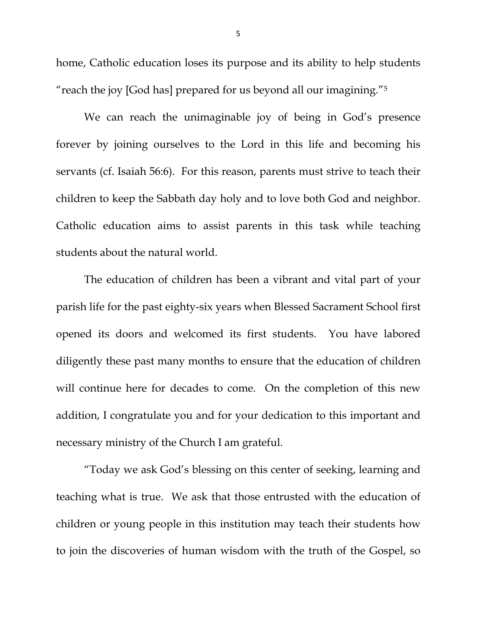home, Catholic education loses its purpose and its ability to help students "reach the joy [God has] prepared for us beyond all our imagining."5

 We can reach the unimaginable joy of being in God's presence forever by joining ourselves to the Lord in this life and becoming his servants (cf. Isaiah 56:6). For this reason, parents must strive to teach their children to keep the Sabbath day holy and to love both God and neighbor. Catholic education aims to assist parents in this task while teaching students about the natural world.

 The education of children has been a vibrant and vital part of your parish life for the past eighty-six years when Blessed Sacrament School first opened its doors and welcomed its first students. You have labored diligently these past many months to ensure that the education of children will continue here for decades to come. On the completion of this new addition, I congratulate you and for your dedication to this important and necessary ministry of the Church I am grateful.

"Today we ask God's blessing on this center of seeking, learning and teaching what is true. We ask that those entrusted with the education of children or young people in this institution may teach their students how to join the discoveries of human wisdom with the truth of the Gospel, so